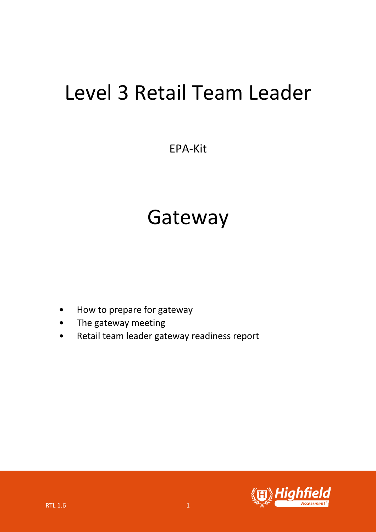# Level 3 Retail Team Leader

## EPA-Kit

# Gateway

- How to prepare for gateway
- The gateway meeting
- Retail team leader gateway readiness report

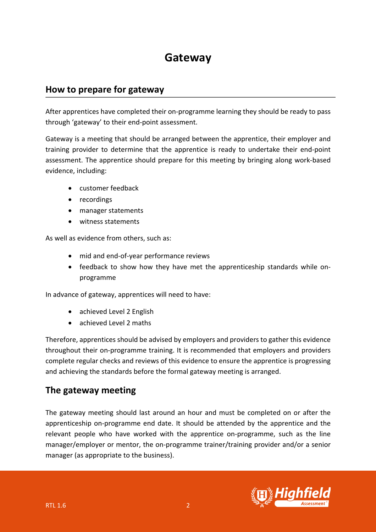## **Gateway**

### **How to prepare for gateway**

After apprentices have completed their on-programme learning they should be ready to pass through 'gateway' to their end-point assessment.

Gateway is a meeting that should be arranged between the apprentice, their employer and training provider to determine that the apprentice is ready to undertake their end-point assessment. The apprentice should prepare for this meeting by bringing along work-based evidence, including:

- customer feedback
- recordings
- manager statements
- witness statements

As well as evidence from others, such as:

- mid and end-of-year performance reviews
- feedback to show how they have met the apprenticeship standards while onprogramme

In advance of gateway, apprentices will need to have:

- achieved Level 2 English
- achieved Level 2 maths

Therefore, apprentices should be advised by employers and providers to gather this evidence throughout their on-programme training. It is recommended that employers and providers complete regular checks and reviews of this evidence to ensure the apprentice is progressing and achieving the standards before the formal gateway meeting is arranged.

### **The gateway meeting**

The gateway meeting should last around an hour and must be completed on or after the apprenticeship on-programme end date. It should be attended by the apprentice and the relevant people who have worked with the apprentice on-programme, such as the line manager/employer or mentor, the on-programme trainer/training provider and/or a senior manager (as appropriate to the business).